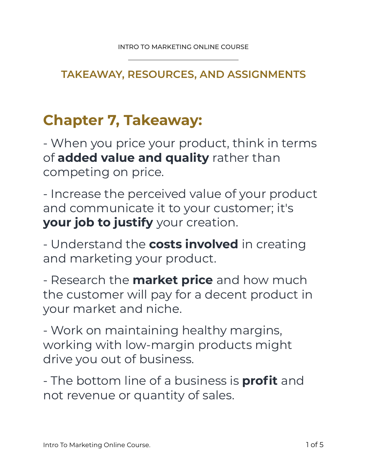### **TAKEAWAY, RESOURCES, AND ASSIGNMENTS**

# **Chapter 7, Takeaway:**

- When you price your product, think in terms of **added value and quality** rather than competing on price.

- Increase the perceived value of your product and communicate it to your customer; it's **your job to justify** your creation.

- Understand the **costs involved** in creating and marketing your product.

- Research the **market price** and how much the customer will pay for a decent product in your market and niche.

- Work on maintaining healthy margins, working with low-margin products might drive you out of business.

- The bottom line of a business is **profit** and not revenue or quantity of sales.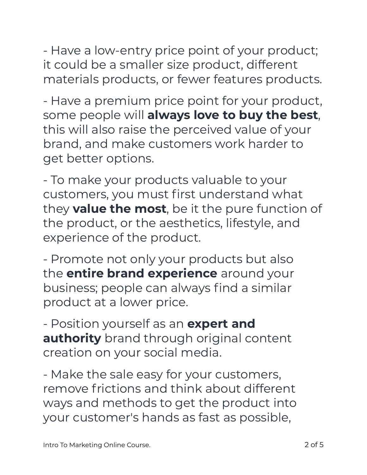- Have a low-entry price point of your product; it could be a smaller size product, different materials products, or fewer features products.

- Have a premium price point for your product, some people will **always love to buy the best**, this will also raise the perceived value of your brand, and make customers work harder to get better options.

- To make your products valuable to your customers, you must first understand what they **value the most**, be it the pure function of the product, or the aesthetics, lifestyle, and experience of the product.

- Promote not only your products but also the **entire brand experience** around your business; people can always find a similar product at a lower price.

- Position yourself as an **expert and authority** brand through original content creation on your social media.

- Make the sale easy for your customers, remove frictions and think about different ways and methods to get the product into your customer's hands as fast as possible,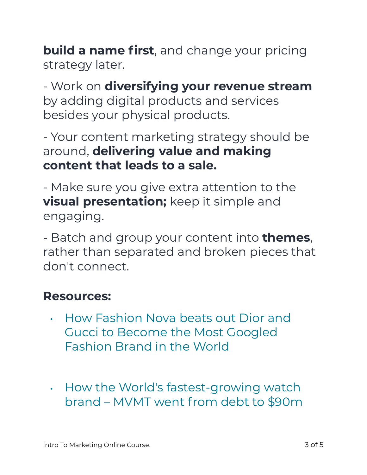**build a name first**, and change your pricing strategy later.

- Work on **diversifying your revenue stream**  by adding digital products and services besides your physical products.

- Your content marketing strategy should be around, **delivering value and making content that leads to a sale.** 

- Make sure you give extra attention to the **visual presentation;** keep it simple and engaging.

- Batch and group your content into **themes**, rather than separated and broken pieces that don't connect.

### **Resources:**

- How Fashion Nova beats out Dior and Gucci to Become the Most Googled Fashion Brand in the World
- How the World's fastest-growing watch brand – MVMT went from debt to \$90m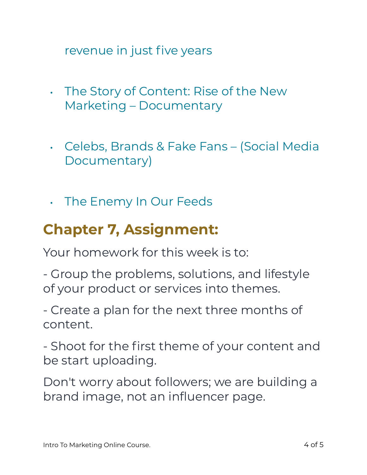revenue in just five years

- The Story of Content: Rise of the New Marketing – Documentary
- Celebs, Brands & Fake Fans (Social Media Documentary)
- The Enemy In Our Feeds

## **Chapter 7, Assignment:**

Your homework for this week is to:

- Group the problems, solutions, and lifestyle of your product or services into themes.

- Create a plan for the next three months of content.

- Shoot for the first theme of your content and be start uploading.

Don't worry about followers; we are building a brand image, not an influencer page.